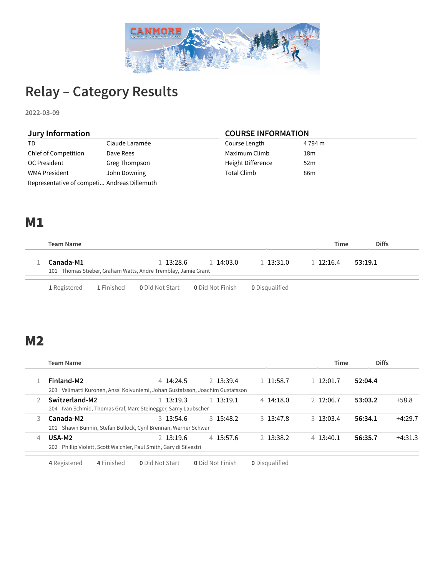

# **Relay – Category Results**

**2022-03-09**

| Jury Information                            |                | <b>COURSE INFORMATION</b> |                 |  |  |  |
|---------------------------------------------|----------------|---------------------------|-----------------|--|--|--|
| TD.                                         | Claude Laramée | Course Length             | 4 794 m         |  |  |  |
| Chief of Competition                        | Dave Rees      | Maximum Climb             | 18m             |  |  |  |
| OC President                                | Greg Thompson  | Height Difference         | 52 <sub>m</sub> |  |  |  |
| WMA President                               | John Downing   | Total Climb               | 86 <sub>m</sub> |  |  |  |
| Representative of competi Andreas Dillemuth |                |                           |                 |  |  |  |

#### M1

| Team Name                                                     |              |              |           | Time         | <b>Diffs</b> |  |
|---------------------------------------------------------------|--------------|--------------|-----------|--------------|--------------|--|
| Canada-M1                                                     | $1\,13:28.6$ | $1\,14:03.0$ | 1 13:31.0 | $1\,12:16.4$ | 53:19.1      |  |
| 101 Thomas Stieber, Graham Watts, Andre Tremblay, Jamie Grant |              |              |           |              |              |  |
|                                                               |              |              |           |              |              |  |

**1** Registered **1** Finished **0** Did Not Start **0** Did Not Finish **0** Disqualified

# M2

Į

| Team Name                                                                                      |              |             |                   |                   | <b>Diffs</b><br>Time |           |
|------------------------------------------------------------------------------------------------|--------------|-------------|-------------------|-------------------|----------------------|-----------|
| Finland-M2<br>Velimatti Kuronen, Anssi Koivuniemi, Johan Gustafsson, Joachim Gustafsson<br>203 | $4\,14:24.5$ | 2, 13:39.4  | l 11:58.7         | 1 12:01.7         | 52:04.4              |           |
| Switzerland-M2<br>Ivan Schmid, Thomas Graf, Marc Steinegger, Samy Laubscher<br>204             | 1.3:19.3     | 1, 13:19.1  | $4\,14:18.0$      | 2, 12:06.7        | 53:03.2              | $+58.8$   |
| Canada-M2<br>Shawn Bunnin, Stefan Bullock, Cyril Brennan, Werner Schwar<br>201                 | $3\,13:54.6$ | 3, 15:48.2  | $3 \quad 13:47.8$ | 3, 13:03.4        | 56:34.1              | $+4:29.7$ |
| USA-M2<br>Phillip Violett, Scott Waichler, Paul Smith, Gary di Silvestri<br>202                | $2\,13:19.6$ | $4$ 15:57.6 | 2 13:38.2         | $4 \quad 13:40.1$ | 56:35.7              | $+4:31.3$ |

**4** Registered **4** Finished **0** Did Not Start **0** Did Not Finish **0** Disqualified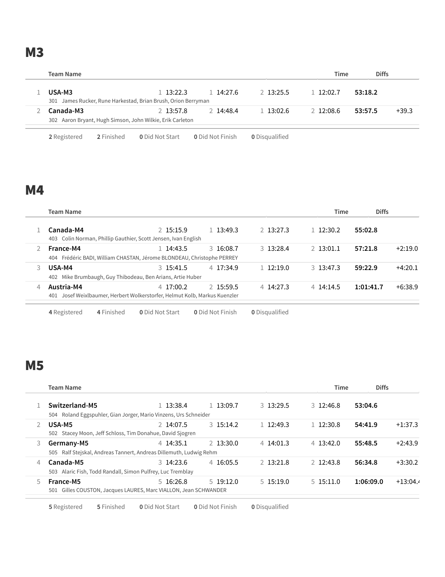**M3** 

|                                                                         |              |               |            | Time         | <b>Diffs</b> |         |
|-------------------------------------------------------------------------|--------------|---------------|------------|--------------|--------------|---------|
| USA-M3<br>301 James Rucker, Rune Harkestad, Brian Brush, Orion Berryman | $1\,13:22.3$ | 1.14:27.6     | 2, 13:25.5 | $1\,12:02.7$ | 53:18.2      |         |
| Canada-M3<br>302 Aaron Bryant, Hugh Simson, John Wilkie, Erik Carleton  | 2 13:57.8    | $2 \t14:48.4$ | 1.3:02.6   | 2.12:08.6    | 53:57.5      | $+39.3$ |

Registered **2** Finished **0** Did Not Start **0** Did Not Finish **0** Disqualified

#### M4

|   | Team Name                                                                                   |                 |                  |                       | Time         | <b>Diffs</b> |           |
|---|---------------------------------------------------------------------------------------------|-----------------|------------------|-----------------------|--------------|--------------|-----------|
|   | Canada-M4<br>403 Colin Norman, Phillip Gauthier, Scott Jensen, Ivan English                 | 2 15:15.9       | 1.3:49.3         | $2\,13:27.3$          | $1\,12:30.2$ | 55:02.8      |           |
|   | France-M4<br>404 Frédéric BADI, William CHASTAN, Jérome BLONDEAU, Christophe PERREY         | 1 14:43.5       | $3\,16:08.7$     | $3\,13:28.4$          | $2$ 13:01.1  | 57:21.8      | $+2:19.0$ |
| 3 | USA-M4<br>402 Mike Brumbaugh, Guy Thibodeau, Ben Arians, Artie Huber                        | $3\,15:41.5$    | $4$ 17:34.9      | $1\,12:19.0$          | $3\,13:47.3$ | 59:22.9      | $+4:20.1$ |
| 4 | Austria-M4<br>Josef Weixlbaumer, Herbert Wolkerstorfer, Helmut Kolb, Markus Kuenzler<br>401 | 4 17:00.2       | 2 15:59.5        | $4 \, 14:27.3$        | $4\,14:14.5$ | 1:01:41.7    | $+6:38.9$ |
|   | 4 Finished<br>4 Registered                                                                  | 0 Did Not Start | 0 Did Not Finish | <b>0</b> Disqualified |              |              |           |

#### Registered **4** Finished **0** Did Not Start **0** Did Not Finish **0** Disqualified

# M5

|    | <b>Team Name</b>                                                   |              |              |              | <b>Time</b>  | <b>Diffs</b> |            |
|----|--------------------------------------------------------------------|--------------|--------------|--------------|--------------|--------------|------------|
|    | Switzerland-M5                                                     | 1 13:38.4    | $1\,13:09.7$ | $3\,13:29.5$ | $3\,12:46.8$ | 53:04.6      |            |
|    | 504 Roland Eggspuhler, Gian Jorger, Mario Vinzens, Urs Schneider   |              |              |              |              |              |            |
|    | USA-M5                                                             | 2 14:07.5    | 3, 15:14.2   | $1\,12:49.3$ | $1\,12:30.8$ | 54:41.9      | $+1:37.3$  |
|    | 502 Stacey Moon, Jeff Schloss, Tim Donahue, David Sjogren          |              |              |              |              |              |            |
| 3  | Germany-M5                                                         | 4 14:35.1    | $2\,13:30.0$ | $4\,14:01.3$ | $4\,13:42.0$ | 55:48.5      | $+2:43.9$  |
|    | 505 Ralf Stejskal, Andreas Tannert, Andreas Dillemuth, Ludwig Rehm |              |              |              |              |              |            |
| 4  | Canada-M5                                                          | $3\,14:23.6$ | $4\,16:05.5$ | $2$ 13:21.8  | 2 12:43.8    | 56:34.8      | $+3:30.2$  |
|    | 503 Alaric Fish, Todd Randall, Simon Pulfrey, Luc Tremblay         |              |              |              |              |              |            |
| 5. | France-M5                                                          | $5\,16:26.8$ | $5\,19:12.0$ | $5\,15:19.0$ | $5\,15:11.0$ | 1:06:09.0    | $+13:04.4$ |
|    | 501 Gilles COUSTON, Jacques LAURES, Marc VIALLON, Jean SCHWANDER   |              |              |              |              |              |            |

Registered **5** Finished **0** Did Not Start **0** Did Not Finish **0** Disqualified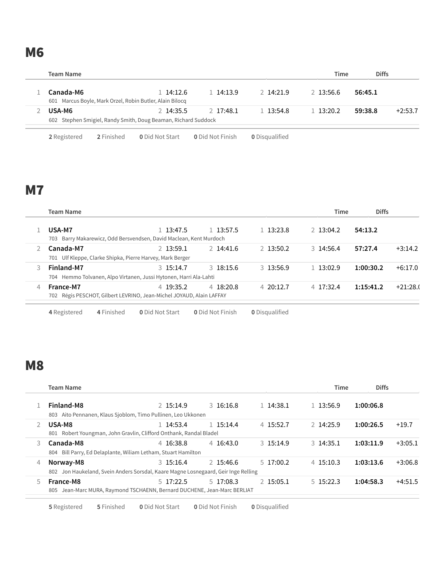**M6** 

| <b>Team Name</b>                                                         |              |               |            | Time       | <b>Diffs</b> |           |
|--------------------------------------------------------------------------|--------------|---------------|------------|------------|--------------|-----------|
| Canada-M6<br>601 Marcus Boyle, Mark Orzel, Robin Butler, Alain Bilocq    | $1\,14:12.6$ | $1 \t14:13.9$ | 2, 14:21.9 | 2.13:56.6  | 56:45.1      |           |
| USA-M6<br>602 Stephen Smigiel, Randy Smith, Doug Beaman, Richard Suddock | 2.14:35.5    | 2 17:48.1     | 1.13.548   | 1, 13:20.2 | 59:38.8      | $+2:53.7$ |

Registered **2** Finished **0** Did Not Start **0** Did Not Finish **0** Disqualified

# **M7**

|   | Team Name                                                            |              |                |              | <b>Time</b>       | <b>Diffs</b> |            |
|---|----------------------------------------------------------------------|--------------|----------------|--------------|-------------------|--------------|------------|
|   | USA-M7                                                               | . 13:47.5    | 1 13:57.5      | $1\,13:23.8$ | $2\,13:04.2$      | 54:13.2      |            |
|   | 703 Barry Makarewicz, Odd Bersvendsen, David Maclean, Kent Murdoch   |              |                |              |                   |              |            |
|   | Canada-M7                                                            | 2 13:59.1    | 2 14:41.6      | 2 13:50.2    | $3\,14:56.4$      | 57:27.4      | $+3:14.2$  |
|   | 701 Ulf Kleppe, Clarke Shipka, Pierre Harvey, Mark Berger            |              |                |              |                   |              |            |
|   | Finland-M7                                                           | $3\,15:14.7$ | $3\,18:15.6$   | 3, 13:56.9   | 1 13:02.9         | 1:00:30.2    | $+6:17.0$  |
|   | 704 Hemmo Tolvanen, Alpo Virtanen, Jussi Hytonen, Harri Ala-Lahti    |              |                |              |                   |              |            |
| 4 | France-M7                                                            | 4 19:35.2    | $4 \, 18:20.8$ | 4.20:12.7    | $4 \quad 17:32.4$ | 1:15:41.2    | $+21:28.0$ |
|   | 702 Régis PESCHOT, Gilbert LEVRINO, Jean-Michel JOYAUD, Alain LAFFAY |              |                |              |                   |              |            |

Registered **4** Finished **0** Did Not Start **0** Did Not Finish **0** Disqualified

# **M8**

|    | <b>Team Name</b>                                                                   |              |              |              | <b>Time</b>  | <b>Diffs</b> |           |
|----|------------------------------------------------------------------------------------|--------------|--------------|--------------|--------------|--------------|-----------|
|    | Finland-M8                                                                         | 2 15:14.9    | $3\,16:16.8$ | $1\,14:38.1$ | 1 13:56.9    | 1:00:06.8    |           |
|    | 803 Aito Pennanen, Klaus Sjoblom, Timo Pullinen, Leo Ukkonen                       |              |              |              |              |              |           |
|    | USA-M8                                                                             | 1 14:53.4    | $1\,15:14.4$ | 4 15:52.7    | 2 14:25.9    | 1:00:26.5    | $+19.7$   |
|    | 801 Robert Youngman, John Gravlin, Clifford Onthank, Randal Bladel                 |              |              |              |              |              |           |
| 3  | Canada-M8                                                                          | 4 16:38.8    | 4, 16:43.0   | 3, 15:14.9   | $3\,14:35.1$ | 1:03:11.9    | $+3:05.1$ |
|    | 804 Bill Parry, Ed Delaplante, Wiliam Letham, Stuart Hamilton                      |              |              |              |              |              |           |
| 4  | Norway-M8                                                                          | $3\,15:16.4$ | 2 15:46.6    | 5, 17:00.2   | $4\,15:10.3$ | 1:03:13.6    | $+3:06.8$ |
|    | 802 Jon Haukeland, Svein Anders Sorsdal, Kaare Magne Losnegaard, Geir Inge Relling |              |              |              |              |              |           |
| 5. | France-M8                                                                          | 517:22.5     | $5\,17:08.3$ | 2 15:05.1    | $5\,15:22.3$ | 1:04:58.3    | $+4:51.5$ |
|    | Jean-Marc MURA, Raymond TSCHAENN, Bernard DUCHENE, Jean-Marc BERLIAT<br>805        |              |              |              |              |              |           |

Registered **5** Finished **0** Did Not Start **0** Did Not Finish **0** Disqualified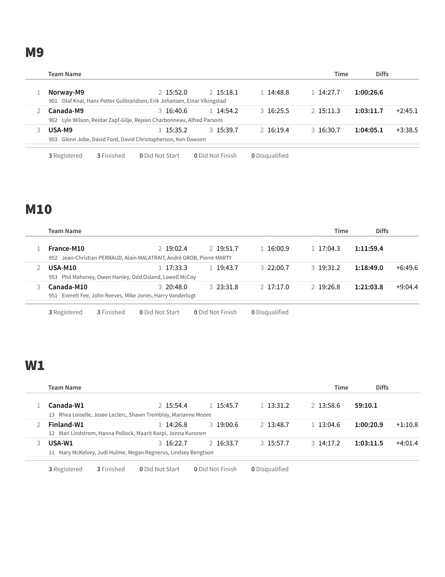M9

| Team Name                                                                           |                                                                                      |              |            | Time      | <b>Diffs</b> |           |
|-------------------------------------------------------------------------------------|--------------------------------------------------------------------------------------|--------------|------------|-----------|--------------|-----------|
| Norway-M9                                                                           | 2 15:52.0<br>901 Olaf Knai, Hans Petter Gulbrandsen, Erik Johansen, Einar Vikingstad | 2 15:18.1    | 1 14:48.8  | 14:27.7   | 1:00:26.6    |           |
| Canada-M9<br>902 Lyle Wilson, Reidar Zapf-Gilje, Rejean Charbonneau, Alfred Parsons | $3\,16:40.6$                                                                         | $1\,14:54.2$ | 3, 16:25.5 | 2.15:11.3 | 1:03:11.7    | $+2:45.1$ |
| USA-M9<br>903                                                                       | 1 15:35.2<br>Glenn Jobe, David Ford, David Christopherson, Ken Dawson                | 3, 15:39.7   | 2.16:19.4  | 3 16:30.7 | 1:04:05.1    | $+3:38.5$ |

Registered **3** Finished **0** Did Not Start **0** Did Not Finish **0** Disqualified

### M10

| Team Name                                                             |              |              |              | Time         | <b>Diffs</b> |           |
|-----------------------------------------------------------------------|--------------|--------------|--------------|--------------|--------------|-----------|
| France-M10                                                            | 2 19:02.4    | 2 19:51.7    | 1 16:00.9    | $1\,17:04.3$ | 1:11:59.4    |           |
| 952 Jean-Christian PERRAUD, Alain MALATRAIT, André GROB, Pierre MARTY |              |              |              |              |              |           |
| <b>USA-M10</b>                                                        | 17:33.3      | $1\,19:43.7$ | 3.22:00.7    | 3, 19:31.2   | 1:18:49.0    | $+6:49.6$ |
| 953 Phil Mahoney, Owen Hanley, Odd Osland, Lowell McCoy               |              |              |              |              |              |           |
| Canada-M10                                                            | $3\,20:48.0$ | $3\,23:31.8$ | $2\,17:17.0$ | 2 19:26.8    | 1:21:03.8    | $+9:04.4$ |
| 951 Everett Fee, John Reeves, Mike Jones, Harry Vanderlugt            |              |              |              |              |              |           |

Registered **3** Finished **0** Did Not Start **0** Did Not Finish **0** Disqualified

# W1

| <b>Team Name</b>                                                |              |              |            |                | <b>Diffs</b><br>Time |           |
|-----------------------------------------------------------------|--------------|--------------|------------|----------------|----------------------|-----------|
| Canada-W1                                                       | 2 15:54.4    | $1\,15:45.7$ | 1.3:31.2   | 2 13:58.6      | 59:10.1              |           |
| 13 Rhea Loiselle, Josee Leclerc, Shawn Tremblay, Marianne Moore |              |              |            |                |                      |           |
| Finland-W1                                                      | L 14:26.8    | 3, 19:00.6   | 2 13:48.7  | $1\,13:04.6$   | 1:00:20.9            | $+1:10.8$ |
| 12 Mari Lindstrom, Hanna Pollock, Maarit Korpi, Jonna Kuronen   |              |              |            |                |                      |           |
| USA-W1                                                          | $3\,16:22.7$ | $2\,16:33.7$ | 3, 15:57.7 | $3 \, 14:17.2$ | 1:03:11.5            | $+4:01.4$ |
| 11 Mary McKelvey, Judi Hulme, Megan Regnerus, Lindsey Bengtson  |              |              |            |                |                      |           |

Registered **3** Finished **0** Did Not Start **0** Did Not Finish **0** Disqualified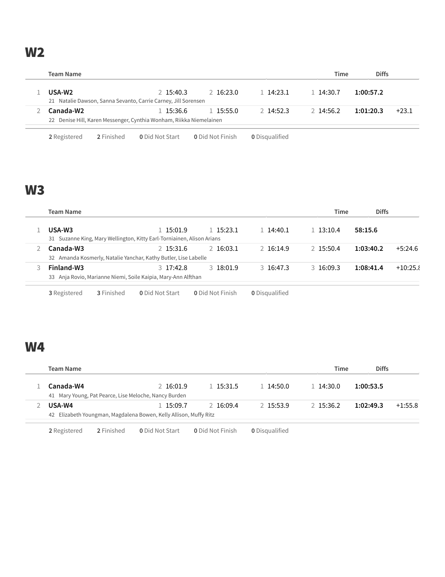W2

| <b>Team Name</b>                                                    |           |            |                | Time         | <b>Diffs</b> |         |
|---------------------------------------------------------------------|-----------|------------|----------------|--------------|--------------|---------|
| USA-W <sub>2</sub>                                                  | 2.15:40.3 | 2 16:23.0  | $1 \, 14:23.1$ | $1\,14:30.7$ | 1:00:57.2    |         |
| 21 Natalie Dawson, Sanna Sevanto, Carrie Carney, Jill Sorensen      |           |            |                |              |              |         |
| Canada-W2                                                           | 1 15:36.6 | 1, 15:55.0 | 2.14:52.3      | 2.14:56.2    | 1:01:20.3    | $+23.1$ |
| 22 Denise Hill, Karen Messenger, Cynthia Wonham, Riikka Niemelainen |           |            |                |              |              |         |

**2** Registered **2** Finished **0** Did Not Start **0** Did Not Finish **0** Disqualified

# W3

| Team Name                                                     |                   |                                                                        |                         |                       |  | Time         | <b>Diffs</b> |            |
|---------------------------------------------------------------|-------------------|------------------------------------------------------------------------|-------------------------|-----------------------|--|--------------|--------------|------------|
| USA-W3                                                        |                   | 15:01.9                                                                | $1\,15:23.1$            | 1 14:40.1             |  | $1\,13:10.4$ | 58:15.6      |            |
|                                                               |                   | 31 Suzanne King, Mary Wellington, Kitty Earl-Torniainen, Alison Arians |                         |                       |  |              |              |            |
| Canada-W3                                                     |                   | 2 15:31.6                                                              | $2\,16:03.1$            | 2 16:14.9             |  | 2 15:50.4    | 1:03:40.2    | $+5:24.6$  |
|                                                               |                   | 32 Amanda Kosmerly, Natalie Yanchar, Kathy Butler, Lise Labelle        |                         |                       |  |              |              |            |
| Finland-W3                                                    |                   | $3 \t17:42.8$                                                          | 3, 18:01.9              | $3\,16:47.3$          |  | $3\,16:09.3$ | 1:08:41.4    | $+10:25.8$ |
| 33 Anja Rovio, Marianne Niemi, Soile Kaipia, Mary-Ann Alfthan |                   |                                                                        |                         |                       |  |              |              |            |
| 3 Registered                                                  | <b>3</b> Finished | <b>0</b> Did Not Start                                                 | <b>0</b> Did Not Finish | <b>0</b> Disqualified |  |              |              |            |

#### W4

| <b>Team Name</b>                                                  |           |           |           | Time         | <b>Diffs</b> |           |
|-------------------------------------------------------------------|-----------|-----------|-----------|--------------|--------------|-----------|
| Canada-W4                                                         | 2 16:01.9 | 1 15:31.5 | 1.14:50.0 | $1\,14:30.0$ | 1:00:53.5    |           |
| 41 Mary Young, Pat Pearce, Lise Meloche, Nancy Burden             |           |           |           |              |              |           |
| USA-W4                                                            | 1 15:09.7 | 2.16:09.4 | 2.15:53.9 | 2, 15:36.2   | 1:02:49.3    | $+1:55.8$ |
| 42 Elizabeth Youngman, Magdalena Bowen, Kelly Allison, Muffy Ritz |           |           |           |              |              |           |

**2** Registered **2** Finished **0** Did Not Start **0** Did Not Finish **0** Disqualified